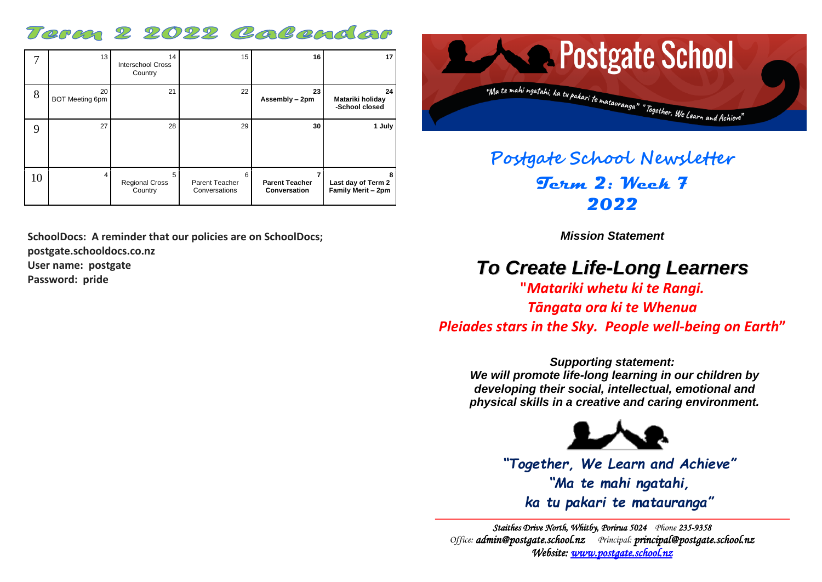## Term 2 2022 Colendor

|    | 13                           | 14<br><b>Interschool Cross</b><br>Country | 15                                   | 16                                    | 17                                       |
|----|------------------------------|-------------------------------------------|--------------------------------------|---------------------------------------|------------------------------------------|
| 8  | 20<br><b>BOT Meeting 6pm</b> | 21                                        | 22                                   | 23<br>Assembly - 2pm                  | 24<br>Matariki holiday<br>-School closed |
| 9  | 27                           | 28                                        | 29                                   | 30                                    | 1 July                                   |
| 10 | 4                            | 5<br><b>Regional Cross</b><br>Country     | 6<br>Parent Teacher<br>Conversations | <b>Parent Teacher</b><br>Conversation | Last day of Term 2<br>Family Merit - 2pm |

**SchoolDocs: A reminder that our policies are on SchoolDocs; postgate.schooldocs.co.nz User name: postgate**

**Password: pride**



## **Postgate School Newsletter Term 2: Week 7 2022**

*Mission Statement*

## *To Create Life-Long Learners*

**"***Matariki whetu ki te Rangi. Tāngata ora ki te Whenua*

*Pleiades stars in the Sky. People well-being on Earth***"**

*Supporting statement: We will promote life-long learning in our children by developing their social, intellectual, emotional and physical skills in a creative and caring environment.*



*"Together, We Learn and Achieve" "Ma te mahi ngatahi, ka tu pakari te matauranga"*

*Staithes Drive North, Whitby, Porirua 5024 Phone 235-9358 Office: [admin@postgate.school.nz](mailto:admin@postgate.school.nz) Principal: [principal@postgate.school.nz](mailto:principal@postgate.school.nz)  Website: [www.postgate.school.nz](http://www.postgate.school.nz/)*